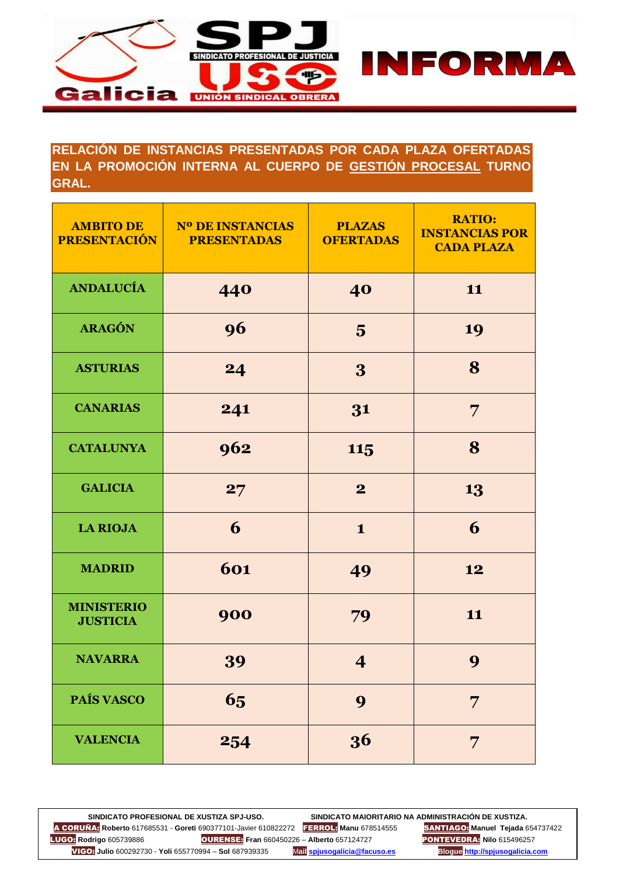

## **RELACIÓN DE INSTANCIAS PRESENTADAS POR CADA PLAZA OFERTADAS EN LA PROMOCIÓN INTERNA AL CUERPO DE GESTIÓN PROCESAL TURNO GRAL.**

| <b>AMBITO DE</b><br><b>PRESENTACIÓN</b> | <b>Nº DE INSTANCIAS</b><br><b>PRESENTADAS</b> | <b>PLAZAS</b><br><b>OFERTADAS</b> | <b>RATIO:</b><br><b>INSTANCIAS POR</b><br><b>CADA PLAZA</b> |
|-----------------------------------------|-----------------------------------------------|-----------------------------------|-------------------------------------------------------------|
| <b>ANDALUCÍA</b>                        | 440                                           | 40                                | 11                                                          |
| <b>ARAGÓN</b>                           | 96                                            | $\overline{\mathbf{5}}$           | 19                                                          |
| <b>ASTURIAS</b>                         | 24                                            | 3                                 | 8                                                           |
| <b>CANARIAS</b>                         | 241                                           | 31                                | 7                                                           |
| <b>CATALUNYA</b>                        | 962                                           | 115                               | 8                                                           |
| <b>GALICIA</b>                          | 27                                            | $\overline{2}$                    | 13                                                          |
| <b>LA RIOJA</b>                         | 6                                             | $\mathbf{1}$                      | 6                                                           |
| <b>MADRID</b>                           | 601                                           | 49                                | 12                                                          |
| <b>MINISTERIO</b><br><b>JUSTICIA</b>    | 900                                           | 79                                | 11                                                          |
| <b>NAVARRA</b>                          | 39                                            | 4                                 | 9                                                           |
| PAÍS VASCO                              | 65                                            | 9                                 | 7                                                           |
| <b>VALENCIA</b>                         | 254                                           | 36                                | 7                                                           |

SINDICATO PROFESIONAL DE XUSTIZA SPJ-USO.<br><mark>ÑA:</mark> Roberto 617685531 - Goreti 690377101-Javier 610822272 FERROL: Manu 678514555 SANTIAGO: Manuel Tejada 654737422 A CORUÑA: **Roberto** 617685531 - **Goreti** 690377101-Javier 610822272 FERROL: **Manu** 678514555 SANTIAGO: **Manuel Tejada** 654737422 LUGO: **Rodrigo** 605739886 OURENSE: **Fran** 660450226 – **Alberto** 657124727 PONTEVEDRA: **Nilo** 615496257 VIGO: **Julio** 600292730 - **Yoli** 655770994 – **Sol** 687939335 M**ail [spjusogalicia@facuso.es](mailto:spjusogalicia@facuso.es) Blogue [http://spjusogalicia.com](http://spjusogalicia.com/)**